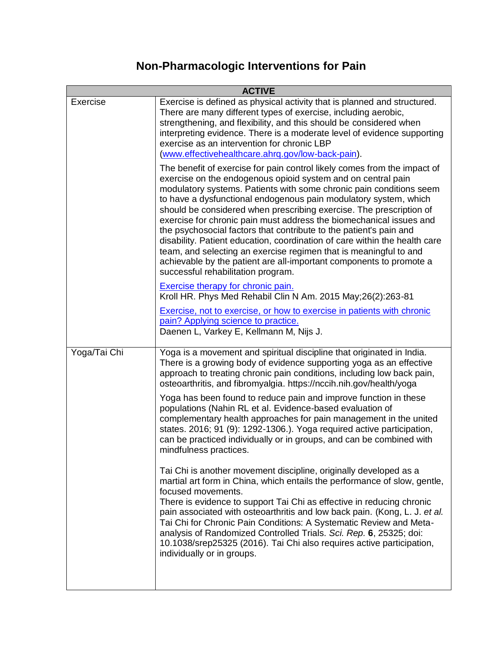## **Non-Pharmacologic Interventions for Pain**

|              | <b>ACTIVE</b>                                                                                                                                                                                                                                                                                                                                                                                                                                                                                                                                                                                                                                                                                                                                                           |
|--------------|-------------------------------------------------------------------------------------------------------------------------------------------------------------------------------------------------------------------------------------------------------------------------------------------------------------------------------------------------------------------------------------------------------------------------------------------------------------------------------------------------------------------------------------------------------------------------------------------------------------------------------------------------------------------------------------------------------------------------------------------------------------------------|
| Exercise     | Exercise is defined as physical activity that is planned and structured.<br>There are many different types of exercise, including aerobic,<br>strengthening, and flexibility, and this should be considered when<br>interpreting evidence. There is a moderate level of evidence supporting<br>exercise as an intervention for chronic LBP<br>(www.effectivehealthcare.ahrq.gov/low-back-pain).                                                                                                                                                                                                                                                                                                                                                                         |
|              | The benefit of exercise for pain control likely comes from the impact of<br>exercise on the endogenous opioid system and on central pain<br>modulatory systems. Patients with some chronic pain conditions seem<br>to have a dysfunctional endogenous pain modulatory system, which<br>should be considered when prescribing exercise. The prescription of<br>exercise for chronic pain must address the biomechanical issues and<br>the psychosocial factors that contribute to the patient's pain and<br>disability. Patient education, coordination of care within the health care<br>team, and selecting an exercise regimen that is meaningful to and<br>achievable by the patient are all-important components to promote a<br>successful rehabilitation program. |
|              | Exercise therapy for chronic pain.<br>Kroll HR. Phys Med Rehabil Clin N Am. 2015 May;26(2):263-81<br>Exercise, not to exercise, or how to exercise in patients with chronic<br>pain? Applying science to practice.<br>Daenen L, Varkey E, Kellmann M, Nijs J.                                                                                                                                                                                                                                                                                                                                                                                                                                                                                                           |
| Yoga/Tai Chi | Yoga is a movement and spiritual discipline that originated in India.<br>There is a growing body of evidence supporting yoga as an effective<br>approach to treating chronic pain conditions, including low back pain,<br>osteoarthritis, and fibromyalgia. https://nccih.nih.gov/health/yoga                                                                                                                                                                                                                                                                                                                                                                                                                                                                           |
|              | Yoga has been found to reduce pain and improve function in these<br>populations (Nahin RL et al. Evidence-based evaluation of<br>complementary health approaches for pain management in the united<br>states. 2016; 91 (9): 1292-1306.). Yoga required active participation,<br>can be practiced individually or in groups, and can be combined with<br>mindfulness practices.                                                                                                                                                                                                                                                                                                                                                                                          |
|              | Tai Chi is another movement discipline, originally developed as a<br>martial art form in China, which entails the performance of slow, gentle,<br>focused movements.<br>There is evidence to support Tai Chi as effective in reducing chronic<br>pain associated with osteoarthritis and low back pain. (Kong, L. J. et al.<br>Tai Chi for Chronic Pain Conditions: A Systematic Review and Meta-<br>analysis of Randomized Controlled Trials. Sci. Rep. 6, 25325; doi:<br>10.1038/srep25325 (2016). Tai Chi also requires active participation,<br>individually or in groups.                                                                                                                                                                                          |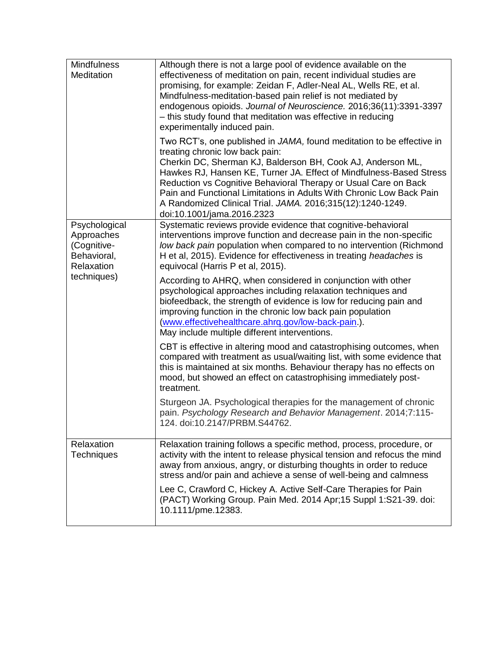| <b>Mindfulness</b><br>Meditation                                                       | Although there is not a large pool of evidence available on the<br>effectiveness of meditation on pain, recent individual studies are<br>promising, for example: Zeidan F, Adler-Neal AL, Wells RE, et al.<br>Mindfulness-meditation-based pain relief is not mediated by<br>endogenous opioids. Journal of Neuroscience. 2016;36(11):3391-3397<br>- this study found that meditation was effective in reducing<br>experimentally induced pain.<br>Two RCT's, one published in JAMA, found meditation to be effective in<br>treating chronic low back pain:<br>Cherkin DC, Sherman KJ, Balderson BH, Cook AJ, Anderson ML,<br>Hawkes RJ, Hansen KE, Turner JA. Effect of Mindfulness-Based Stress<br>Reduction vs Cognitive Behavioral Therapy or Usual Care on Back<br>Pain and Functional Limitations in Adults With Chronic Low Back Pain<br>A Randomized Clinical Trial. JAMA. 2016;315(12):1240-1249.<br>doi:10.1001/jama.2016.2323 |
|----------------------------------------------------------------------------------------|------------------------------------------------------------------------------------------------------------------------------------------------------------------------------------------------------------------------------------------------------------------------------------------------------------------------------------------------------------------------------------------------------------------------------------------------------------------------------------------------------------------------------------------------------------------------------------------------------------------------------------------------------------------------------------------------------------------------------------------------------------------------------------------------------------------------------------------------------------------------------------------------------------------------------------------|
| Psychological<br>Approaches<br>(Cognitive-<br>Behavioral,<br>Relaxation<br>techniques) | Systematic reviews provide evidence that cognitive-behavioral<br>interventions improve function and decrease pain in the non-specific<br>low back pain population when compared to no intervention (Richmond<br>H et al, 2015). Evidence for effectiveness in treating headaches is<br>equivocal (Harris P et al, 2015).<br>According to AHRQ, when considered in conjunction with other<br>psychological approaches including relaxation techniques and<br>biofeedback, the strength of evidence is low for reducing pain and<br>improving function in the chronic low back pain population<br>(www.effectivehealthcare.ahrq.gov/low-back-pain.).<br>May include multiple different interventions.                                                                                                                                                                                                                                      |
|                                                                                        | CBT is effective in altering mood and catastrophising outcomes, when<br>compared with treatment as usual/waiting list, with some evidence that<br>this is maintained at six months. Behaviour therapy has no effects on<br>mood, but showed an effect on catastrophising immediately post-<br>treatment.<br>Sturgeon JA. Psychological therapies for the management of chronic<br>pain. Psychology Research and Behavior Management. 2014;7:115-<br>124. doi:10.2147/PRBM.S44762.                                                                                                                                                                                                                                                                                                                                                                                                                                                        |
| Relaxation<br><b>Techniques</b>                                                        | Relaxation training follows a specific method, process, procedure, or<br>activity with the intent to release physical tension and refocus the mind<br>away from anxious, angry, or disturbing thoughts in order to reduce<br>stress and/or pain and achieve a sense of well-being and calmness<br>Lee C, Crawford C, Hickey A. Active Self-Care Therapies for Pain<br>(PACT) Working Group. Pain Med. 2014 Apr; 15 Suppl 1:S21-39. doi:<br>10.1111/pme.12383.                                                                                                                                                                                                                                                                                                                                                                                                                                                                            |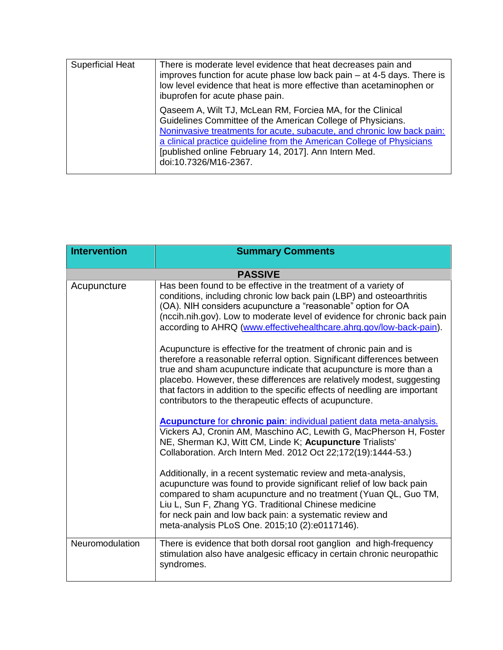| <b>Superficial Heat</b> | There is moderate level evidence that heat decreases pain and<br>improves function for acute phase low back pain $-$ at 4-5 days. There is<br>low level evidence that heat is more effective than acetaminophen or<br>ibuprofen for acute phase pain.                                                                                                          |
|-------------------------|----------------------------------------------------------------------------------------------------------------------------------------------------------------------------------------------------------------------------------------------------------------------------------------------------------------------------------------------------------------|
|                         | Qaseem A, Wilt TJ, McLean RM, Forciea MA, for the Clinical<br>Guidelines Committee of the American College of Physicians.<br>Noninvasive treatments for acute, subacute, and chronic low back pain:<br>a clinical practice guideline from the American College of Physicians<br>[published online February 14, 2017]. Ann Intern Med.<br>doi:10.7326/M16-2367. |

| <b>Intervention</b> | <b>Summary Comments</b>                                                                                                                                                                                                                                                                                                                                                                                                              |
|---------------------|--------------------------------------------------------------------------------------------------------------------------------------------------------------------------------------------------------------------------------------------------------------------------------------------------------------------------------------------------------------------------------------------------------------------------------------|
|                     | <b>PASSIVE</b>                                                                                                                                                                                                                                                                                                                                                                                                                       |
| Acupuncture         | Has been found to be effective in the treatment of a variety of<br>conditions, including chronic low back pain (LBP) and osteoarthritis<br>(OA). NIH considers acupuncture a "reasonable" option for OA<br>(nccih.nih.gov). Low to moderate level of evidence for chronic back pain<br>according to AHRQ (www.effectivehealthcare.ahrq.gov/low-back-pain).                                                                           |
|                     | Acupuncture is effective for the treatment of chronic pain and is<br>therefore a reasonable referral option. Significant differences between<br>true and sham acupuncture indicate that acupuncture is more than a<br>placebo. However, these differences are relatively modest, suggesting<br>that factors in addition to the specific effects of needling are important<br>contributors to the therapeutic effects of acupuncture. |
|                     | Acupuncture for chronic pain: individual patient data meta-analysis.<br>Vickers AJ, Cronin AM, Maschino AC, Lewith G, MacPherson H, Foster<br>NE, Sherman KJ, Witt CM, Linde K; Acupuncture Trialists'<br>Collaboration. Arch Intern Med. 2012 Oct 22;172(19):1444-53.)                                                                                                                                                              |
|                     | Additionally, in a recent systematic review and meta-analysis,<br>acupuncture was found to provide significant relief of low back pain<br>compared to sham acupuncture and no treatment (Yuan QL, Guo TM,<br>Liu L, Sun F, Zhang YG. Traditional Chinese medicine<br>for neck pain and low back pain: a systematic review and<br>meta-analysis PLoS One. 2015;10 (2):e0117146).                                                      |
| Neuromodulation     | There is evidence that both dorsal root ganglion and high-frequency<br>stimulation also have analgesic efficacy in certain chronic neuropathic<br>syndromes.                                                                                                                                                                                                                                                                         |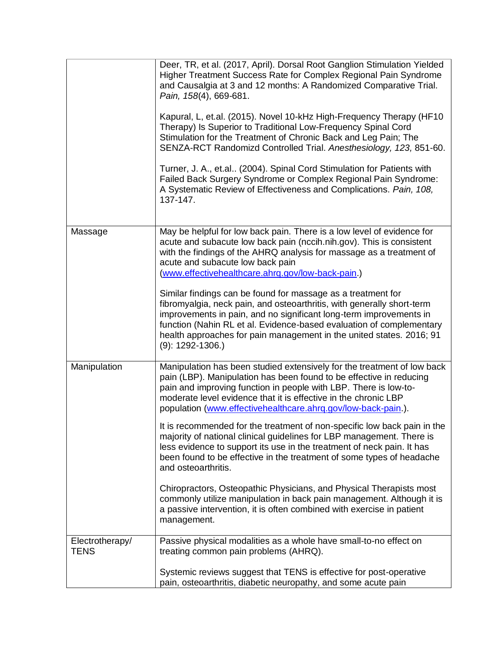|                                | Deer, TR, et al. (2017, April). Dorsal Root Ganglion Stimulation Yielded<br>Higher Treatment Success Rate for Complex Regional Pain Syndrome<br>and Causalgia at 3 and 12 months: A Randomized Comparative Trial.<br>Pain, 158(4), 669-681.<br>Kapural, L, et.al. (2015). Novel 10-kHz High-Frequency Therapy (HF10<br>Therapy) Is Superior to Traditional Low-Frequency Spinal Cord<br>Stimulation for the Treatment of Chronic Back and Leg Pain; The<br>SENZA-RCT Randomizd Controlled Trial. Anesthesiology, 123, 851-60.<br>Turner, J. A., et.al (2004). Spinal Cord Stimulation for Patients with<br>Failed Back Surgery Syndrome or Complex Regional Pain Syndrome:<br>A Systematic Review of Effectiveness and Complications. Pain, 108,<br>137-147.                                                                                                                                                                  |
|--------------------------------|-------------------------------------------------------------------------------------------------------------------------------------------------------------------------------------------------------------------------------------------------------------------------------------------------------------------------------------------------------------------------------------------------------------------------------------------------------------------------------------------------------------------------------------------------------------------------------------------------------------------------------------------------------------------------------------------------------------------------------------------------------------------------------------------------------------------------------------------------------------------------------------------------------------------------------|
| Massage                        | May be helpful for low back pain. There is a low level of evidence for<br>acute and subacute low back pain (nccih.nih.gov). This is consistent<br>with the findings of the AHRQ analysis for massage as a treatment of<br>acute and subacute low back pain<br>(www.effectivehealthcare.ahrq.gov/low-back-pain.)<br>Similar findings can be found for massage as a treatment for<br>fibromyalgia, neck pain, and osteoarthritis, with generally short-term<br>improvements in pain, and no significant long-term improvements in<br>function (Nahin RL et al. Evidence-based evaluation of complementary<br>health approaches for pain management in the united states. 2016; 91<br>$(9)$ : 1292-1306.)                                                                                                                                                                                                                        |
| Manipulation                   | Manipulation has been studied extensively for the treatment of low back<br>pain (LBP). Manipulation has been found to be effective in reducing<br>pain and improving function in people with LBP. There is low-to-<br>moderate level evidence that it is effective in the chronic LBP<br>population (www.effectivehealthcare.ahrq.gov/low-back-pain.).<br>It is recommended for the treatment of non-specific low back pain in the<br>majority of national clinical guidelines for LBP management. There is<br>less evidence to support its use in the treatment of neck pain. It has<br>been found to be effective in the treatment of some types of headache<br>and osteoarthritis.<br>Chiropractors, Osteopathic Physicians, and Physical Therapists most<br>commonly utilize manipulation in back pain management. Although it is<br>a passive intervention, it is often combined with exercise in patient<br>management. |
| Electrotherapy/<br><b>TENS</b> | Passive physical modalities as a whole have small-to-no effect on<br>treating common pain problems (AHRQ).<br>Systemic reviews suggest that TENS is effective for post-operative                                                                                                                                                                                                                                                                                                                                                                                                                                                                                                                                                                                                                                                                                                                                              |
|                                | pain, osteoarthritis, diabetic neuropathy, and some acute pain                                                                                                                                                                                                                                                                                                                                                                                                                                                                                                                                                                                                                                                                                                                                                                                                                                                                |